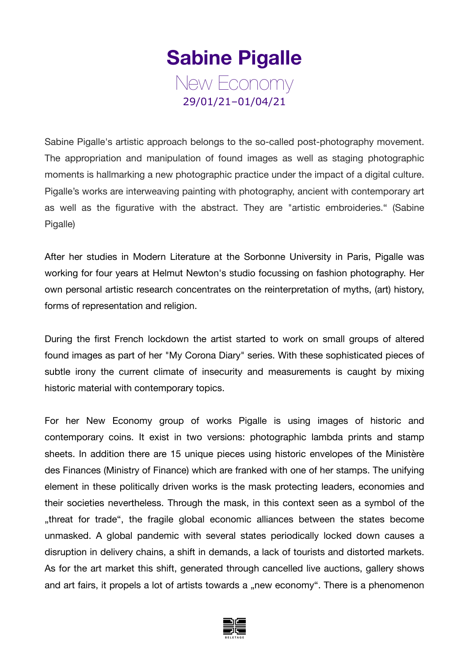## **Sabine Pigalle** New Economy 29/01/21–01/04/21

Sabine Pigalle's artistic approach belongs to the so-called post-photography movement. The appropriation and manipulation of found images as well as staging photographic moments is hallmarking a new photographic practice under the impact of a digital culture. Pigalle's works are interweaving painting with photography, ancient with contemporary art as well as the figurative with the abstract. They are "artistic embroideries." (Sabine Pigalle)

After her studies in Modern Literature at the Sorbonne University in Paris, Pigalle was working for four years at Helmut Newton's studio focussing on fashion photography. Her own personal artistic research concentrates on the reinterpretation of myths, (art) history, forms of representation and religion.

During the first French lockdown the artist started to work on small groups of altered found images as part of her "My Corona Diary" series. With these sophisticated pieces of subtle irony the current climate of insecurity and measurements is caught by mixing historic material with contemporary topics.

For her New Economy group of works Pigalle is using images of historic and contemporary coins. It exist in two versions: photographic lambda prints and stamp sheets. In addition there are 15 unique pieces using historic envelopes of the Ministère des Finances (Ministry of Finance) which are franked with one of her stamps. The unifying element in these politically driven works is the mask protecting leaders, economies and their societies nevertheless. Through the mask, in this context seen as a symbol of the "threat for trade", the fragile global economic alliances between the states become unmasked. A global pandemic with several states periodically locked down causes a disruption in delivery chains, a shift in demands, a lack of tourists and distorted markets. As for the art market this shift, generated through cancelled live auctions, gallery shows and art fairs, it propels a lot of artists towards a "new economy". There is a phenomenon